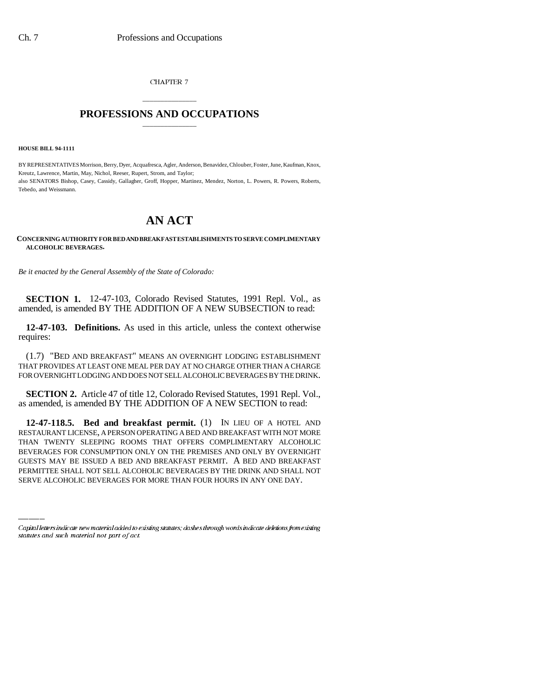CHAPTER 7

## \_\_\_\_\_\_\_\_\_\_\_\_\_\_\_ **PROFESSIONS AND OCCUPATIONS** \_\_\_\_\_\_\_\_\_\_\_\_\_\_\_

**HOUSE BILL 94-1111**

BY REPRESENTATIVES Morrison, Berry, Dyer, Acquafresca, Agler, Anderson, Benavidez, Chlouber, Foster, June, Kaufman, Knox, Kreutz, Lawrence, Martin, May, Nichol, Reeser, Rupert, Strom, and Taylor; also SENATORS Bishop, Casey, Cassidy, Gallagher, Groff, Hopper, Martinez, Mendez, Norton, L. Powers, R. Powers, Roberts, Tebedo, and Weissmann.

## **AN ACT**

## **CONCERNING AUTHORITY FOR BED AND BREAKFAST ESTABLISHMENTS TO SERVE COMPLIMENTARY ALCOHOLIC BEVERAGES.**

*Be it enacted by the General Assembly of the State of Colorado:*

**SECTION 1.** 12-47-103, Colorado Revised Statutes, 1991 Repl. Vol., as amended, is amended BY THE ADDITION OF A NEW SUBSECTION to read:

**12-47-103. Definitions.** As used in this article, unless the context otherwise requires:

(1.7) "BED AND BREAKFAST" MEANS AN OVERNIGHT LODGING ESTABLISHMENT THAT PROVIDES AT LEAST ONE MEAL PER DAY AT NO CHARGE OTHER THAN A CHARGE FOR OVERNIGHT LODGING AND DOES NOT SELL ALCOHOLIC BEVERAGES BY THE DRINK.

**SECTION 2.** Article 47 of title 12, Colorado Revised Statutes, 1991 Repl. Vol., as amended, is amended BY THE ADDITION OF A NEW SECTION to read:

BEVERAGES FOR CONSUMPTION ONLY ON THE PREMISES AND ONLY BY OVERNIGHT **12-47-118.5. Bed and breakfast permit.** (1) IN LIEU OF A HOTEL AND RESTAURANT LICENSE, A PERSON OPERATING A BED AND BREAKFAST WITH NOT MORE THAN TWENTY SLEEPING ROOMS THAT OFFERS COMPLIMENTARY ALCOHOLIC GUESTS MAY BE ISSUED A BED AND BREAKFAST PERMIT. A BED AND BREAKFAST PERMITTEE SHALL NOT SELL ALCOHOLIC BEVERAGES BY THE DRINK AND SHALL NOT SERVE ALCOHOLIC BEVERAGES FOR MORE THAN FOUR HOURS IN ANY ONE DAY.

Capital letters indicate new material added to existing statutes; dashes through words indicate deletions from existing statutes and such material not part of act.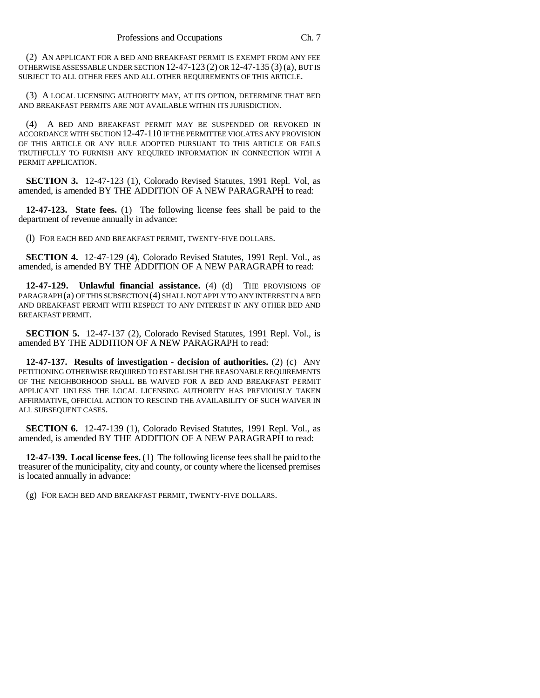(2) AN APPLICANT FOR A BED AND BREAKFAST PERMIT IS EXEMPT FROM ANY FEE OTHERWISE ASSESSABLE UNDER SECTION 12-47-123 (2) OR 12-47-135 (3) (a), BUT IS SUBJECT TO ALL OTHER FEES AND ALL OTHER REQUIREMENTS OF THIS ARTICLE.

(3) A LOCAL LICENSING AUTHORITY MAY, AT ITS OPTION, DETERMINE THAT BED AND BREAKFAST PERMITS ARE NOT AVAILABLE WITHIN ITS JURISDICTION.

(4) A BED AND BREAKFAST PERMIT MAY BE SUSPENDED OR REVOKED IN ACCORDANCE WITH SECTION 12-47-110 IF THE PERMITTEE VIOLATES ANY PROVISION OF THIS ARTICLE OR ANY RULE ADOPTED PURSUANT TO THIS ARTICLE OR FAILS TRUTHFULLY TO FURNISH ANY REQUIRED INFORMATION IN CONNECTION WITH A PERMIT APPLICATION.

**SECTION 3.** 12-47-123 (1), Colorado Revised Statutes, 1991 Repl. Vol, as amended, is amended BY THE ADDITION OF A NEW PARAGRAPH to read:

**12-47-123. State fees.** (1) The following license fees shall be paid to the department of revenue annually in advance:

(l) FOR EACH BED AND BREAKFAST PERMIT, TWENTY-FIVE DOLLARS.

**SECTION 4.** 12-47-129 (4), Colorado Revised Statutes, 1991 Repl. Vol., as amended, is amended BY THE ADDITION OF A NEW PARAGRAPH to read:

**12-47-129. Unlawful financial assistance.** (4) (d) THE PROVISIONS OF PARAGRAPH (a) OF THIS SUBSECTION (4) SHALL NOT APPLY TO ANY INTEREST IN A BED AND BREAKFAST PERMIT WITH RESPECT TO ANY INTEREST IN ANY OTHER BED AND BREAKFAST PERMIT.

**SECTION 5.** 12-47-137 (2), Colorado Revised Statutes, 1991 Repl. Vol., is amended BY THE ADDITION OF A NEW PARAGRAPH to read:

**12-47-137. Results of investigation - decision of authorities.** (2) (c) ANY PETITIONING OTHERWISE REQUIRED TO ESTABLISH THE REASONABLE REQUIREMENTS OF THE NEIGHBORHOOD SHALL BE WAIVED FOR A BED AND BREAKFAST PERMIT APPLICANT UNLESS THE LOCAL LICENSING AUTHORITY HAS PREVIOUSLY TAKEN AFFIRMATIVE, OFFICIAL ACTION TO RESCIND THE AVAILABILITY OF SUCH WAIVER IN ALL SUBSEQUENT CASES.

**SECTION 6.** 12-47-139 (1), Colorado Revised Statutes, 1991 Repl. Vol., as amended, is amended BY THE ADDITION OF A NEW PARAGRAPH to read:

**12-47-139. Local license fees.** (1) The following license fees shall be paid to the treasurer of the municipality, city and county, or county where the licensed premises is located annually in advance:

(g) FOR EACH BED AND BREAKFAST PERMIT, TWENTY-FIVE DOLLARS.